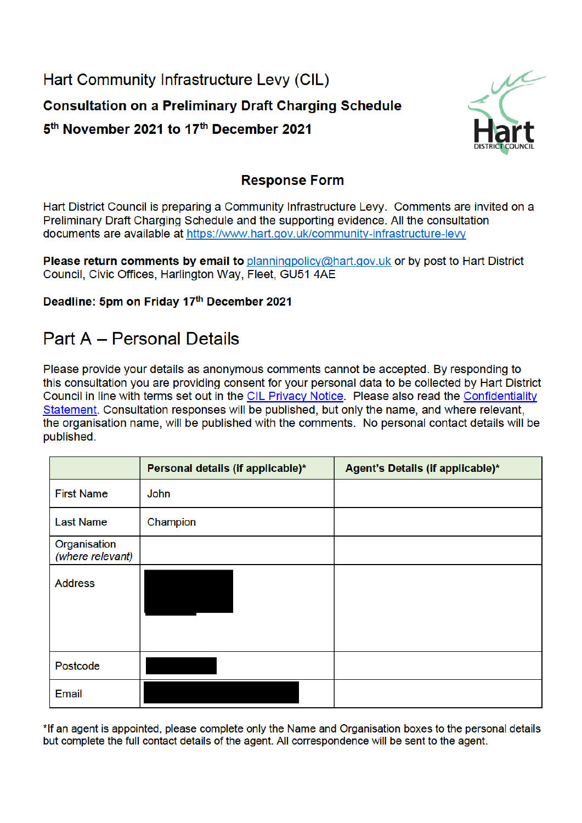Hart Community Infrastructure Levy (CIL) **Consultation on a Preliminary Draft Charging Schedule** 5<sup>th</sup> November 2021 to 17<sup>th</sup> December 2021



### **Response Form**

Hart District Council is preparing a Community Infrastructure Levy. Comments are invited on a Preliminary Draft Charging Schedule and the supporting evidence. All the consultation documents are available at https://www.hart.gov.uk/community-infrastructure-levy

Please return comments by email to planningpolicy@hart.gov.uk or by post to Hart District Council, Civic Offices, Harlington Way, Fleet, GU51 4AE

#### Deadline: 5pm on Friday 17th December 2021

# **Part A - Personal Details**

Please provide your details as anonymous comments cannot be accepted. By responding to this consultation you are providing consent for your personal data to be collected by Hart District Council in line with terms set out in the CIL Privacy Notice. Please also read the Confidentiality Statement. Consultation responses will be published, but only the name, and where relevant, the organisation name, will be published with the comments. No personal contact details will be published.

|                                  | Personal details (if applicable)* | Agent's Details (if applicable)* |
|----------------------------------|-----------------------------------|----------------------------------|
| <b>First Name</b>                | John                              |                                  |
| <b>Last Name</b>                 | Champion                          |                                  |
| Organisation<br>(where relevant) |                                   |                                  |
| <b>Address</b>                   |                                   |                                  |
| Postcode                         |                                   |                                  |
| Email                            |                                   |                                  |

\*If an agent is appointed, please complete only the Name and Organisation boxes to the personal details but complete the full contact details of the agent. All correspondence will be sent to the agent.